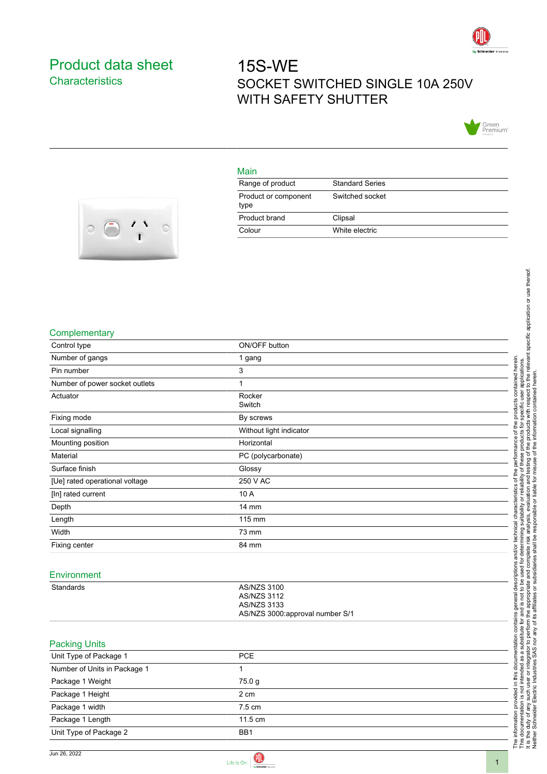

## <span id="page-0-0"></span>Product data sheet **Characteristics**

# 15S-WE SOCKET SWITCHED SINGLE 10A 250V WITH SAFETY SHUTTER



#### Main

| Range of product             | <b>Standard Series</b> |
|------------------------------|------------------------|
| Product or component<br>type | Switched socket        |
| Product brand                | Clipsal                |
| Colour                       | White electric         |



#### **Complementary**

| Control type                   | ON/OFF button                     |
|--------------------------------|-----------------------------------|
| Number of gangs                | 1 gang                            |
| Pin number                     | 3                                 |
| Number of power socket outlets | 1                                 |
| Actuator                       | Rocker<br>Switch                  |
| Fixing mode                    | By screws                         |
| Local signalling               | Without light indicator           |
| Mounting position              | Horizontal                        |
| Material                       | PC (polycarbonate)                |
| Surface finish                 | Glossy                            |
| [Ue] rated operational voltage | 250 V AC                          |
| [In] rated current             | 10 A                              |
| Depth                          | 14 mm                             |
| Length                         | 115 mm                            |
| Width                          | 73 mm                             |
| Fixing center                  | 84 mm                             |
|                                |                                   |
| Environment                    |                                   |
| Standards                      | AS/NZS 3100<br><b>AS/NZS 3112</b> |
|                                | <b>AS/NZS 3133</b>                |
|                                | AS/NZS 3000:approval number S/1   |
|                                |                                   |
| <b>Packing Units</b>           |                                   |
| Unit Type of Package 1         | PCE                               |
| Number of Units in Package 1   | 1                                 |
| Package 1 Weight               | 75.0 g                            |
| Package 1 Height               | 2 cm                              |
| Package 1 width                | 7.5 cm                            |
| Package 1 Length               | 11.5 cm                           |
| Unit Type of Package 2         | BB1                               |